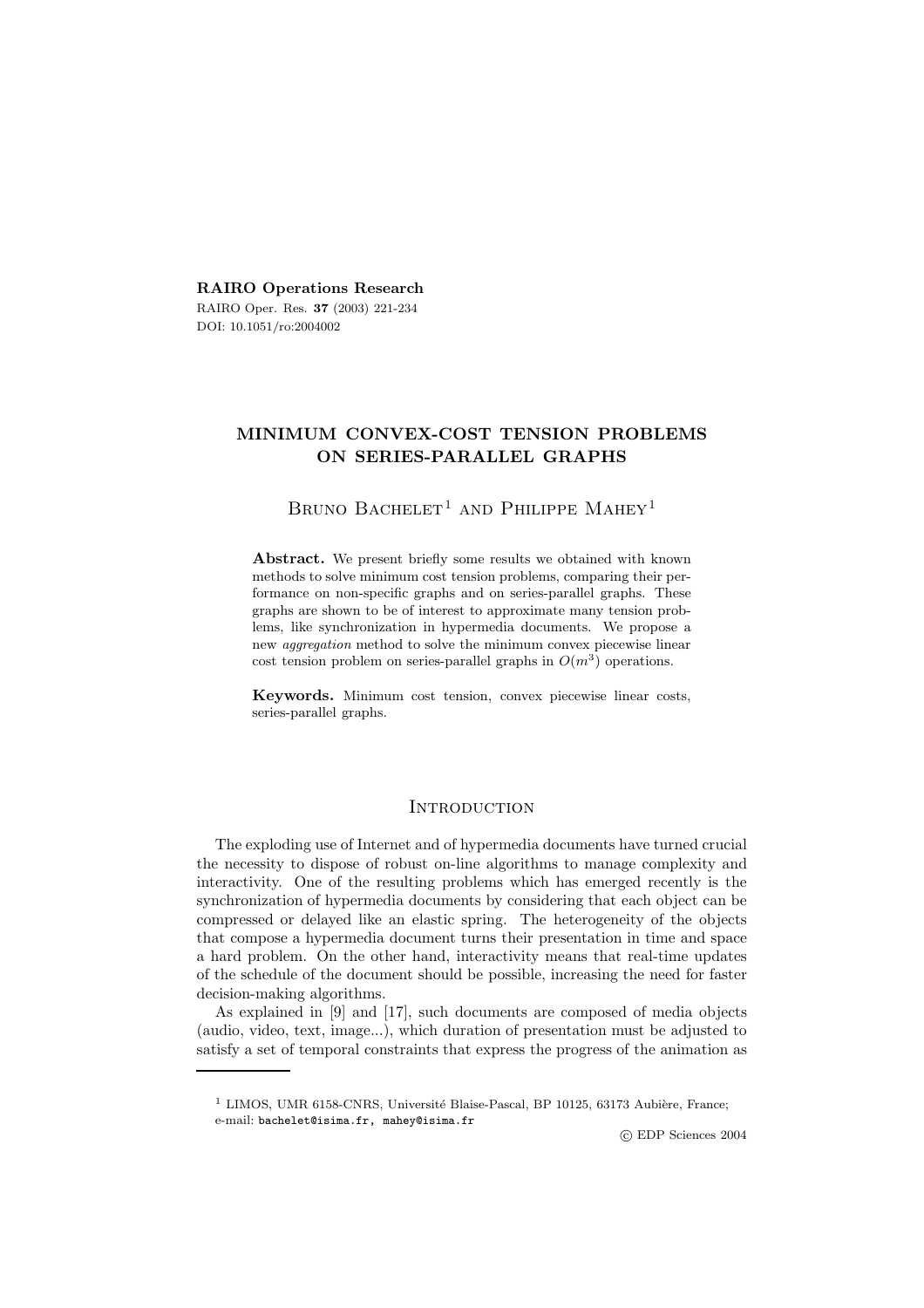**RAIRO Operations Research** RAIRO Oper. Res. **37** (2003) 221-234

DOI: 10.1051/ro:2004002

## **MINIMUM CONVEX-COST TENSION PROBLEMS ON SERIES-PARALLEL GRAPHS**

# BRUNO BACHELET<sup>1</sup> AND PHILIPPE MAHEY<sup>1</sup>

Abstract. We present briefly some results we obtained with known methods to solve minimum cost tension problems, comparing their performance on non-specific graphs and on series-parallel graphs. These graphs are shown to be of interest to approximate many tension problems, like synchronization in hypermedia documents. We propose a new *aggregation* method to solve the minimum convex piecewise linear cost tension problem on series-parallel graphs in  $O(m^3)$  operations.

**Keywords.** Minimum cost tension, convex piecewise linear costs, series-parallel graphs.

## **INTRODUCTION**

The exploding use of Internet and of hypermedia documents have turned crucial the necessity to dispose of robust on-line algorithms to manage complexity and interactivity. One of the resulting problems which has emerged recently is the synchronization of hypermedia documents by considering that each object can be compressed or delayed like an elastic spring. The heterogeneity of the objects that compose a hypermedia document turns their presentation in time and space a hard problem. On the other hand, interactivity means that real-time updates of the schedule of the document should be possible, increasing the need for faster decision-making algorithms.

As explained in [9] and [17], such documents are composed of media objects (audio, video, text, image...), which duration of presentation must be adjusted to satisfy a set of temporal constraints that express the progress of the animation as

c EDP Sciences 2004

 $1$  LIMOS, UMR 6158-CNRS, Université Blaise-Pascal, BP 10125, 63173 Aubière, France; e-mail: bachelet@isima.fr, mahey@isima.fr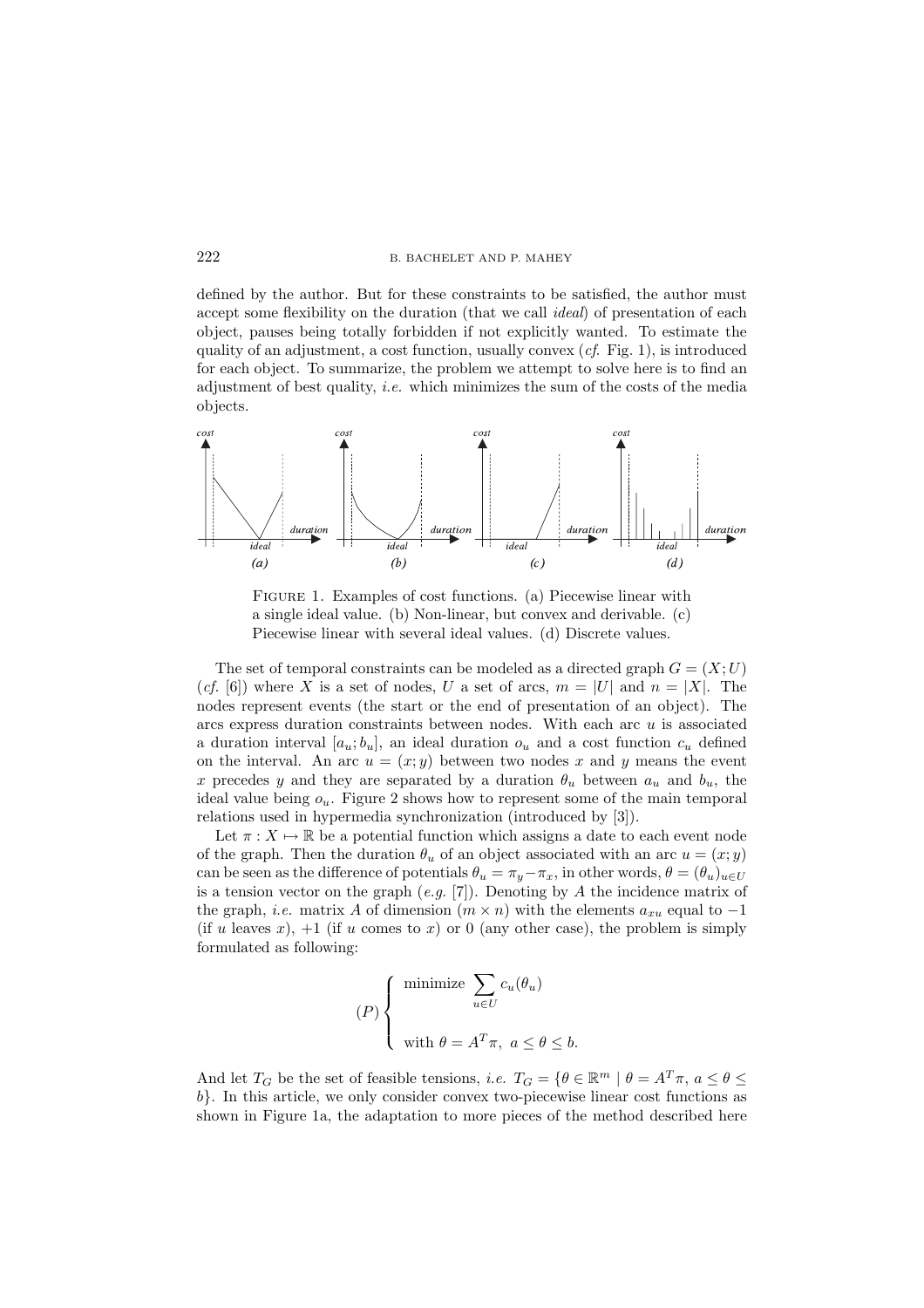defined by the author. But for these constraints to be satisfied, the author must accept some flexibility on the duration (that we call *ideal*) of presentation of each object, pauses being totally forbidden if not explicitly wanted. To estimate the quality of an adjustment, a cost function, usually convex (*cf*. Fig. 1), is introduced for each object. To summarize, the problem we attempt to solve here is to find an adjustment of best quality, *i.e.* which minimizes the sum of the costs of the media objects.



Figure 1. Examples of cost functions. (a) Piecewise linear with a single ideal value. (b) Non-linear, but convex and derivable. (c) Piecewise linear with several ideal values. (d) Discrete values.

The set of temporal constraints can be modeled as a directed graph  $G = (X;U)$ (*cf.* [6]) where X is a set of nodes, U a set of arcs,  $m = |U|$  and  $n = |X|$ . The nodes represent events (the start or the end of presentation of an object). The arcs express duration constraints between nodes. With each arc  $u$  is associated a duration interval  $[a_u; b_u]$ , an ideal duration  $o_u$  and a cost function  $c_u$  defined on the interval. An arc  $u = (x, y)$  between two nodes x and y means the event x precedes y and they are separated by a duration  $\theta_u$  between  $a_u$  and  $b_u$ , the ideal value being  $o_u$ . Figure 2 shows how to represent some of the main temporal relations used in hypermedia synchronization (introduced by [3]).

Let  $\pi: X \mapsto \mathbb{R}$  be a potential function which assigns a date to each event node of the graph. Then the duration  $\theta_u$  of an object associated with an arc  $u = (x, y)$ can be seen as the difference of potentials  $\theta_u = \pi_y - \pi_x$ , in other words,  $\theta = (\theta_u)_{u \in U}$ is a tension vector on the graph (*e.g.* [7]). Denoting by A the incidence matrix of the graph, *i.e.* matrix A of dimension  $(m \times n)$  with the elements  $a_{xu}$  equal to  $-1$ (if u leaves x),  $+1$  (if u comes to x) or 0 (any other case), the problem is simply formulated as following:

$$
(P)\begin{cases} \text{minimize } \sum_{u \in U} c_u(\theta_u) \\ \text{with } \theta = A^T \pi, \ a \le \theta \le b. \end{cases}
$$

And let  $T_G$  be the set of feasible tensions, *i.e.*  $T_G = \{ \theta \in \mathbb{R}^m \mid \theta = A^T \pi, a \leq \theta \leq \theta \}$ b}. In this article, we only consider convex two-piecewise linear cost functions as shown in Figure 1a, the adaptation to more pieces of the method described here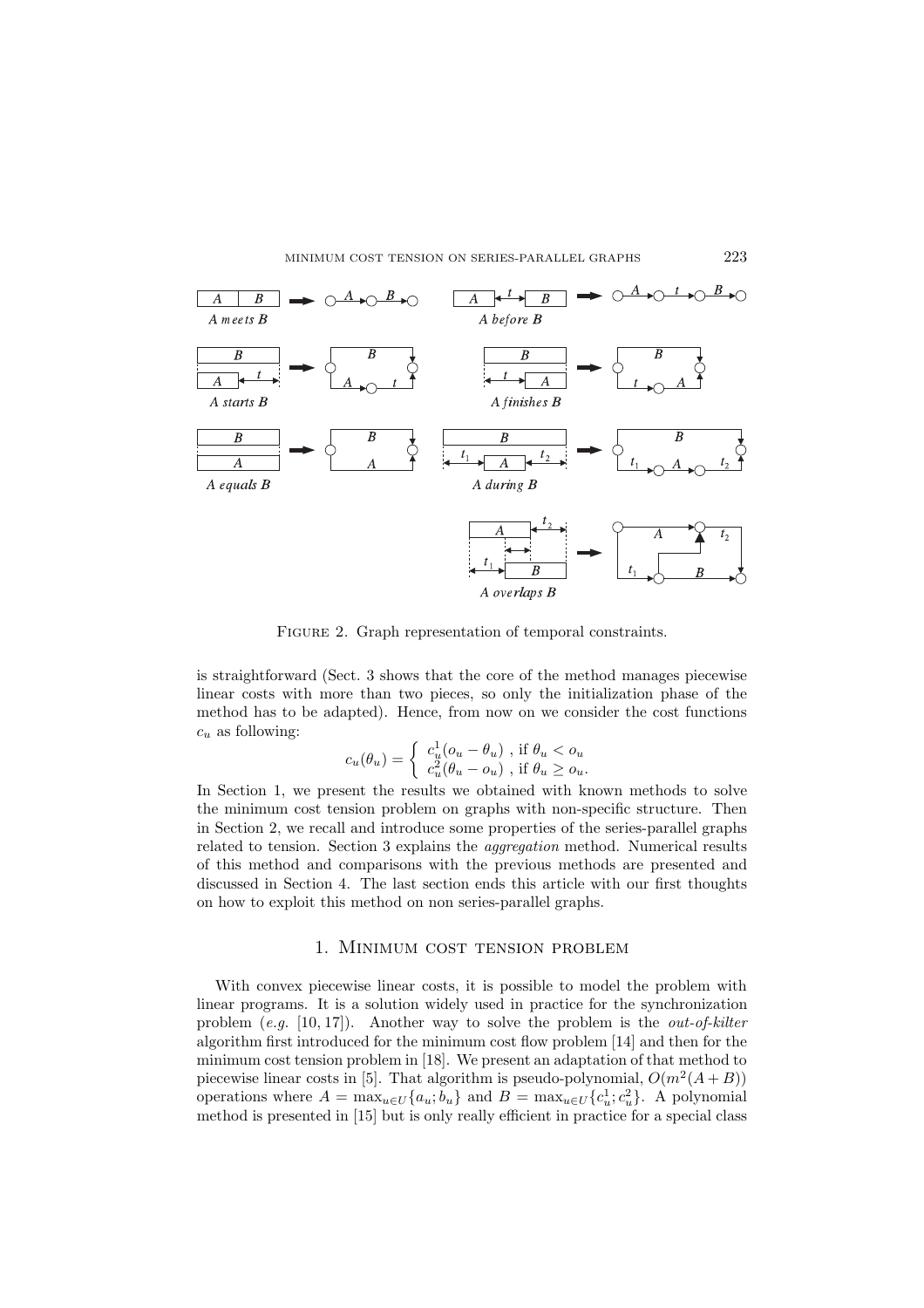

FIGURE 2. Graph representation of temporal constraints.

is straightforward (Sect. 3 shows that the core of the method manages piecewise linear costs with more than two pieces, so only the initialization phase of the method has to be adapted). Hence, from now on we consider the cost functions  $c_u$  as following:

$$
c_u(\theta_u) = \begin{cases} c_u^1(o_u - \theta_u) , \text{ if } \theta_u < o_u \\ c_u^2(\theta_u - o_u) , \text{ if } \theta_u \ge o_u. \end{cases}
$$

In Section 1, we present the results we obtained with known methods to solve the minimum cost tension problem on graphs with non-specific structure. Then in Section 2, we recall and introduce some properties of the series-parallel graphs related to tension. Section 3 explains the *aggregation* method. Numerical results of this method and comparisons with the previous methods are presented and discussed in Section 4. The last section ends this article with our first thoughts on how to exploit this method on non series-parallel graphs.

## 1. Minimum cost tension problem

With convex piecewise linear costs, it is possible to model the problem with linear programs. It is a solution widely used in practice for the synchronization problem (*e.g.* [10, 17]). Another way to solve the problem is the *out-of-kilter* algorithm first introduced for the minimum cost flow problem [14] and then for the minimum cost tension problem in [18]. We present an adaptation of that method to piecewise linear costs in [5]. That algorithm is pseudo-polynomial,  $O(m^2(A+B))$ operations where  $A = \max_{u \in U} \{a_u, b_u\}$  and  $B = \max_{u \in U} \{c_u^1, c_u^2\}$ . A polynomial method is presented in [15] but is only really efficient in practice for a special class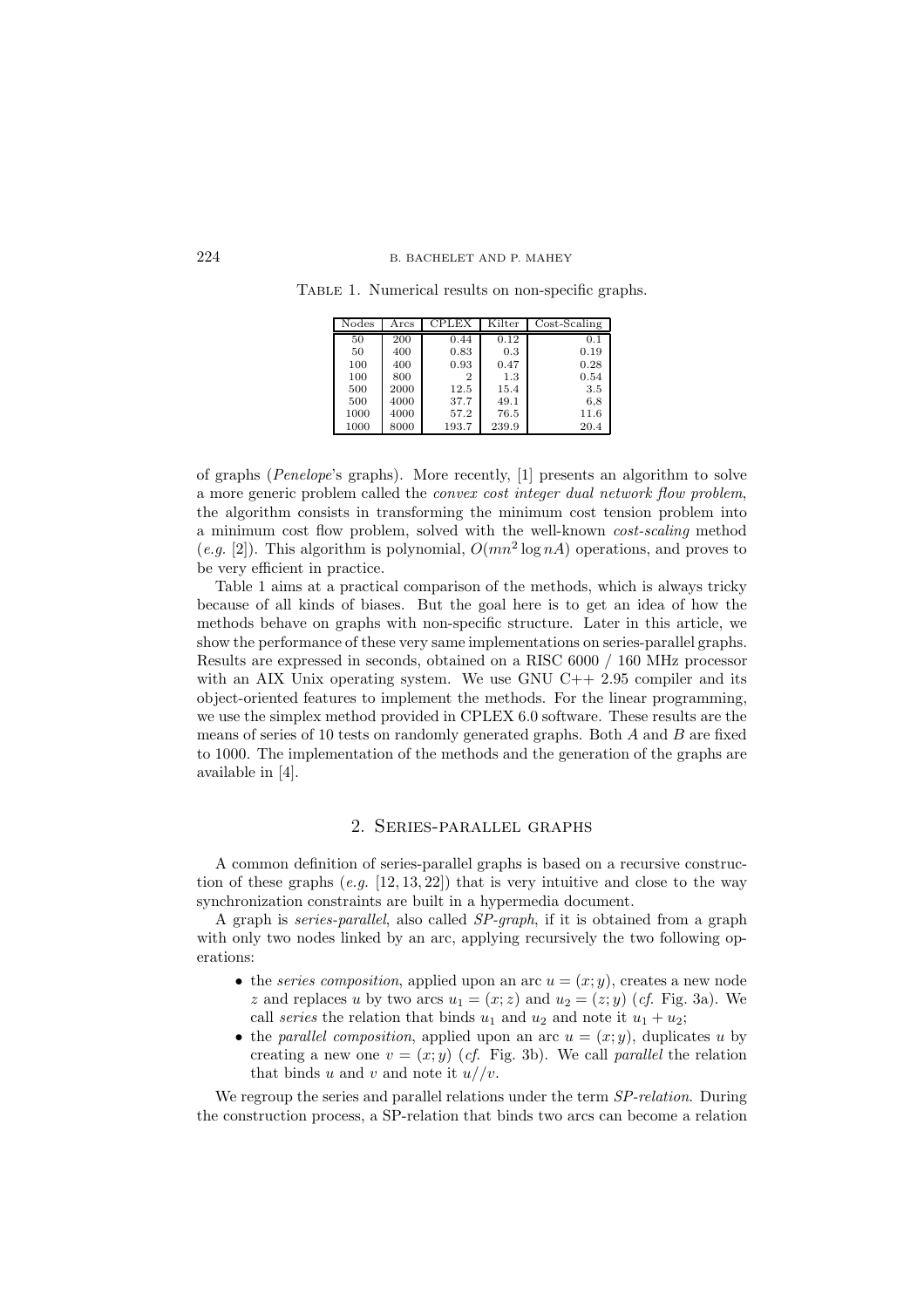| Nodes | $_{\rm Arcs}$ | <b>CPLEX</b> | Kilter | $Cost-Scaling$ |
|-------|---------------|--------------|--------|----------------|
| 50    | 200           | 0.44         | 0.12   | 0.1            |
| 50    | 400           | 0.83         | 0.3    | 0.19           |
| 100   | 400           | 0.93         | 0.47   | 0.28           |
| 100   | 800           | 2            | 1.3    | 0.54           |
| 500   | 2000          | 12.5         | 15.4   | 3.5            |
| 500   | 4000          | 37.7         | 49.1   | 6,8            |
| 1000  | 4000          | 57.2         | 76.5   | 11.6           |
| 1000  | 8000          | 193.7        | 239.9  | 20.4           |

TABLE 1. Numerical results on non-specific graphs.

of graphs (*Penelope*'s graphs). More recently, [1] presents an algorithm to solve a more generic problem called the *convex cost integer dual network flow problem*, the algorithm consists in transforming the minimum cost tension problem into a minimum cost flow problem, solved with the well-known *cost-scaling* method  $(e.g. [2])$ . This algorithm is polynomial,  $O(mn^2 \log nA)$  operations, and proves to be very efficient in practice.

Table 1 aims at a practical comparison of the methods, which is always tricky because of all kinds of biases. But the goal here is to get an idea of how the methods behave on graphs with non-specific structure. Later in this article, we show the performance of these very same implementations on series-parallel graphs. Results are expressed in seconds, obtained on a RISC 6000 / 160 MHz processor with an AIX Unix operating system. We use GNU  $C++ 2.95$  compiler and its object-oriented features to implement the methods. For the linear programming, we use the simplex method provided in CPLEX 6.0 software. These results are the means of series of 10 tests on randomly generated graphs. Both  $A$  and  $B$  are fixed to 1000. The implementation of the methods and the generation of the graphs are available in [4].

## 2. Series-parallel graphs

A common definition of series-parallel graphs is based on a recursive construction of these graphs  $(e.g. [12, 13, 22])$  that is very intuitive and close to the way synchronization constraints are built in a hypermedia document.

A graph is *series-parallel*, also called *SP-graph*, if it is obtained from a graph with only two nodes linked by an arc, applying recursively the two following operations:

- the *series composition*, applied upon an arc  $u = (x, y)$ , creates a new node z and replaces u by two arcs  $u_1 = (x; z)$  and  $u_2 = (z; y)$  (*cf.* Fig. 3a). We call *series* the relation that binds  $u_1$  and  $u_2$  and note it  $u_1 + u_2$ ;
- the *parallel composition*, applied upon an arc  $u = (x, y)$ , duplicates u by creating a new one  $v = (x, y)$  (*cf.* Fig. 3b). We call *parallel* the relation that binds u and v and note it  $u//v$ .

We regroup the series and parallel relations under the term *SP-relation*. During the construction process, a SP-relation that binds two arcs can become a relation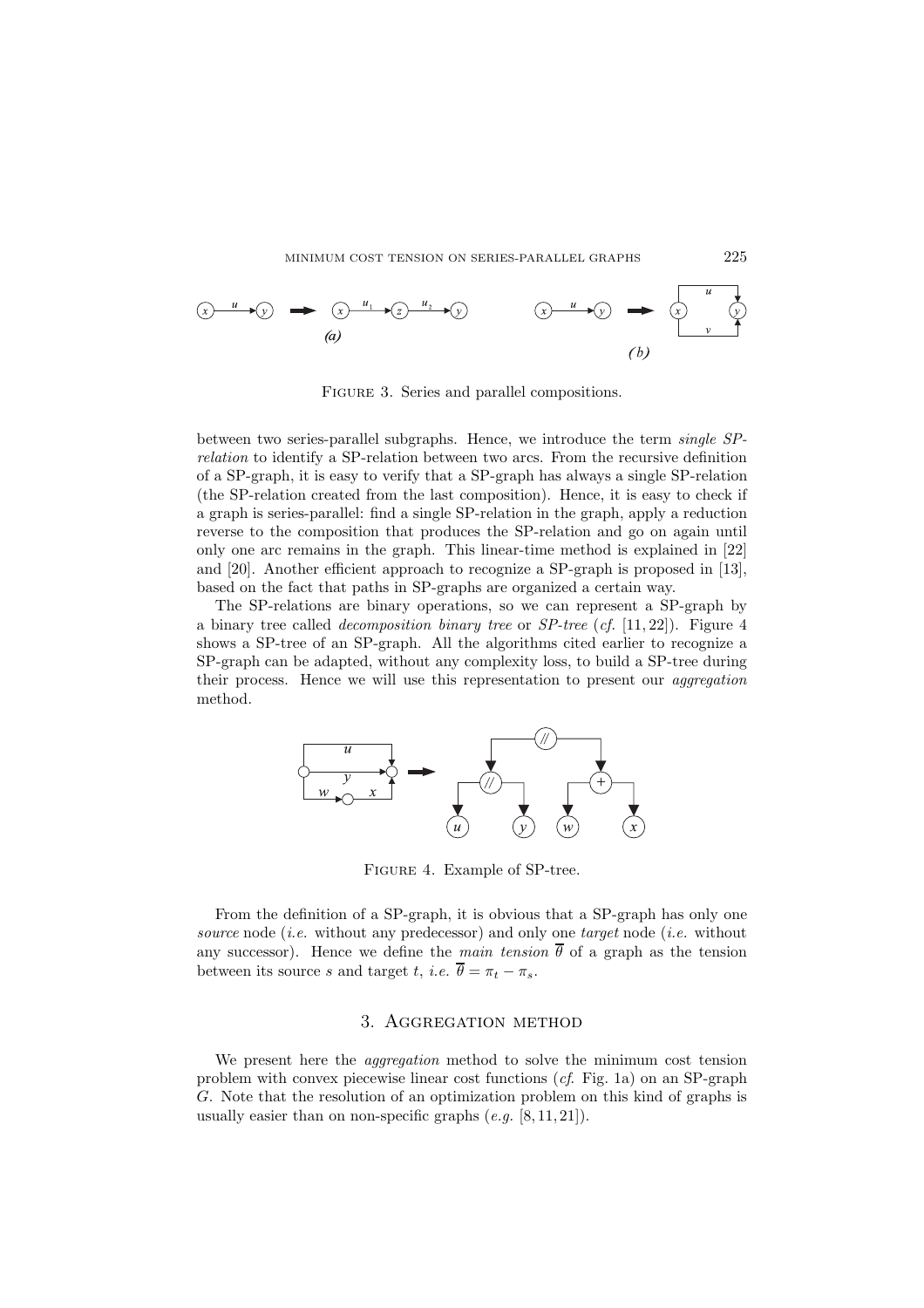

Figure 3. Series and parallel compositions.

between two series-parallel subgraphs. Hence, we introduce the term *single SPrelation* to identify a SP-relation between two arcs. From the recursive definition of a SP-graph, it is easy to verify that a SP-graph has always a single SP-relation (the SP-relation created from the last composition). Hence, it is easy to check if a graph is series-parallel: find a single SP-relation in the graph, apply a reduction reverse to the composition that produces the SP-relation and go on again until only one arc remains in the graph. This linear-time method is explained in [22] and [20]. Another efficient approach to recognize a SP-graph is proposed in [13], based on the fact that paths in SP-graphs are organized a certain way.

The SP-relations are binary operations, so we can represent a SP-graph by a binary tree called *decomposition binary tree* or *SP-tree* (*cf.* [11, 22]). Figure 4 shows a SP-tree of an SP-graph. All the algorithms cited earlier to recognize a SP-graph can be adapted, without any complexity loss, to build a SP-tree during their process. Hence we will use this representation to present our *aggregation* method.



Figure 4. Example of SP-tree.

From the definition of a SP-graph, it is obvious that a SP-graph has only one *source* node (*i.e.* without any predecessor) and only one *target* node (*i.e.* without any successor). Hence we define the *main tension*  $\overline{\theta}$  of a graph as the tension between its source s and target t, *i.e.*  $\overline{\theta} = \pi_t - \pi_s$ .

### 3. Aggregation method

We present here the *aggregation* method to solve the minimum cost tension problem with convex piecewise linear cost functions (*cf*. Fig. 1a) on an SP-graph G. Note that the resolution of an optimization problem on this kind of graphs is usually easier than on non-specific graphs (*e.g.* [8, 11, 21]).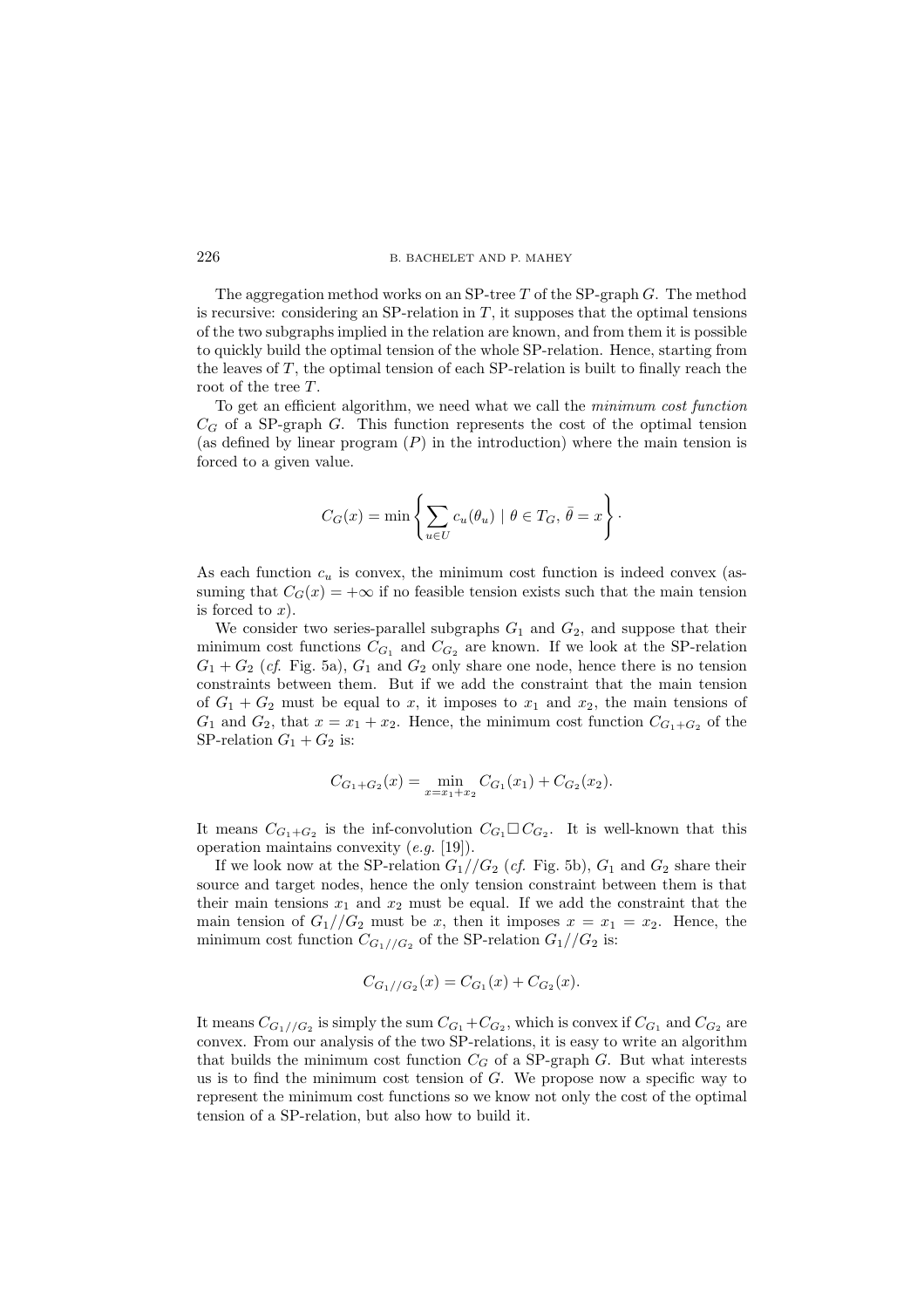The aggregation method works on an SP-tree  $T$  of the SP-graph  $G$ . The method is recursive: considering an SP-relation in  $T$ , it supposes that the optimal tensions of the two subgraphs implied in the relation are known, and from them it is possible to quickly build the optimal tension of the whole SP-relation. Hence, starting from the leaves of  $T$ , the optimal tension of each SP-relation is built to finally reach the root of the tree  $T$ .

To get an efficient algorithm, we need what we call the *minimum cost function*  $C_G$  of a SP-graph G. This function represents the cost of the optimal tension (as defined by linear program  $(P)$  in the introduction) where the main tension is forced to a given value.

$$
C_G(x) = \min \left\{ \sum_{u \in U} c_u(\theta_u) \mid \theta \in T_G, \overline{\theta} = x \right\}.
$$

As each function  $c_u$  is convex, the minimum cost function is indeed convex (assuming that  $C_G(x) = +\infty$  if no feasible tension exists such that the main tension is forced to  $x$ ).

We consider two series-parallel subgraphs  $G_1$  and  $G_2$ , and suppose that their minimum cost functions  $C_{G_1}$  and  $C_{G_2}$  are known. If we look at the SP-relation  $G_1 + G_2$  (*cf.* Fig. 5a),  $G_1$  and  $G_2$  only share one node, hence there is no tension constraints between them. But if we add the constraint that the main tension of  $G_1 + G_2$  must be equal to x, it imposes to  $x_1$  and  $x_2$ , the main tensions of  $G_1$  and  $G_2$ , that  $x = x_1 + x_2$ . Hence, the minimum cost function  $C_{G_1+G_2}$  of the SP-relation  $G_1 + G_2$  is:

$$
C_{G_1+G_2}(x) = \min_{x=x_1+x_2} C_{G_1}(x_1) + C_{G_2}(x_2).
$$

It means  $C_{G_1+G_2}$  is the inf-convolution  $C_{G_1} \square C_{G_2}$ . It is well-known that this operation maintains convexity (*e.g.* [19]).

If we look now at the SP-relation  $G_1//G_2$  (*cf.* Fig. 5b),  $G_1$  and  $G_2$  share their source and target nodes, hence the only tension constraint between them is that their main tensions  $x_1$  and  $x_2$  must be equal. If we add the constraint that the main tension of  $G_1//G_2$  must be x, then it imposes  $x = x_1 = x_2$ . Hence, the minimum cost function  $C_{G_1//G_2}$  of the SP-relation  $G_1//G_2$  is:

$$
C_{G_1//G_2}(x) = C_{G_1}(x) + C_{G_2}(x).
$$

It means  $C_{G_1//G_2}$  is simply the sum  $C_{G_1}+C_{G_2}$ , which is convex if  $C_{G_1}$  and  $C_{G_2}$  are convex. From our analysis of the two SP-relations, it is easy to write an algorithm that builds the minimum cost function  $C_G$  of a SP-graph  $G$ . But what interests us is to find the minimum cost tension of  $G$ . We propose now a specific way to represent the minimum cost functions so we know not only the cost of the optimal tension of a SP-relation, but also how to build it.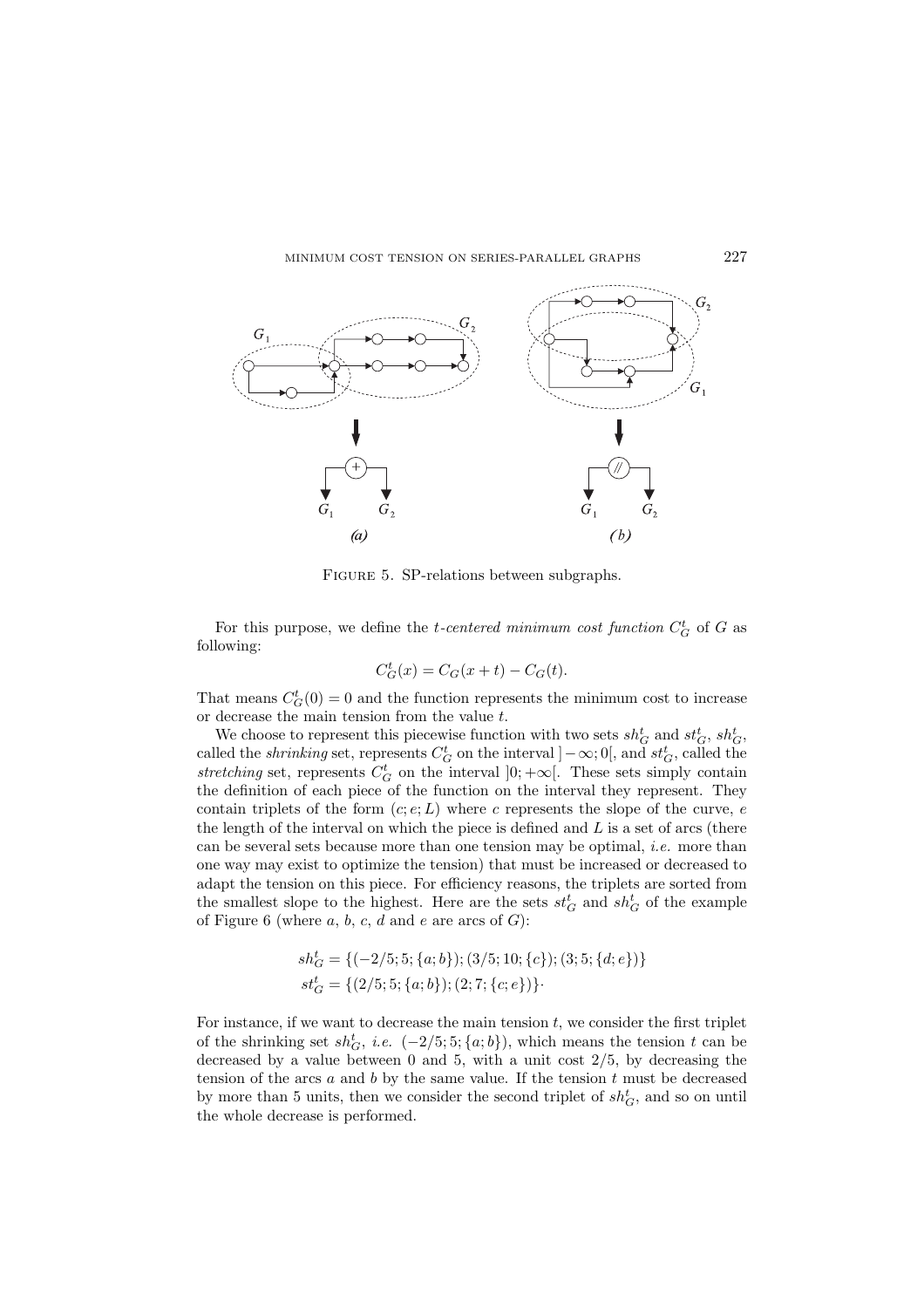

Figure 5. SP-relations between subgraphs.

For this purpose, we define the *t*-centered minimum cost function  $C_G^t$  of G as following:

$$
C_G^t(x) = C_G(x+t) - C_G(t).
$$

That means  $C_G^t(0) = 0$  and the function represents the minimum cost to increase or decrease the main tension from the value  $t$ .

We choose to represent this piecewise function with two sets  $sh_G^t$  and  $st_G^t$ ,  $sh_G^t$ , called the *shrinking* set, represents  $C_G^t$  on the interval  $]-\infty;0[$ , and  $st_G^t$ , called the *stretching* set, represents  $C_G^t$  on the interval  $]0; +\infty[$ . These sets simply contain the definition of each piece of the function on the interval they represent. They contain triplets of the form  $(c, e; L)$  where c represents the slope of the curve, e the length of the interval on which the piece is defined and  $L$  is a set of arcs (there can be several sets because more than one tension may be optimal, *i.e.* more than one way may exist to optimize the tension) that must be increased or decreased to adapt the tension on this piece. For efficiency reasons, the triplets are sorted from the smallest slope to the highest. Here are the sets  $st_G^t$  and  $sh_G^t$  of the example of Figure 6 (where  $a, b, c, d$  and  $e$  are arcs of  $G$ ):

$$
\begin{aligned} sh_G^t &= \{(-2/5;5;\{a;b\});(3/5;10;\{c\});(3;5;\{d;e\})\} \\ st_G^t &= \{(2/5;5;\{a;b\});(2;7;\{c;e\})\} \end{aligned}.
$$

For instance, if we want to decrease the main tension  $t$ , we consider the first triplet of the shrinking set  $sh_G^t$ , *i.e.*  $(-2/5; 5; \{a; b\})$ , which means the tension t can be decreased by a value between  $0$  and  $5$ , with a unit cost  $2/5$ , by decreasing the tension of the arcs  $a$  and  $b$  by the same value. If the tension  $t$  must be decreased by more than 5 units, then we consider the second triplet of  $sh_G^t$ , and so on until the whole decrease is performed.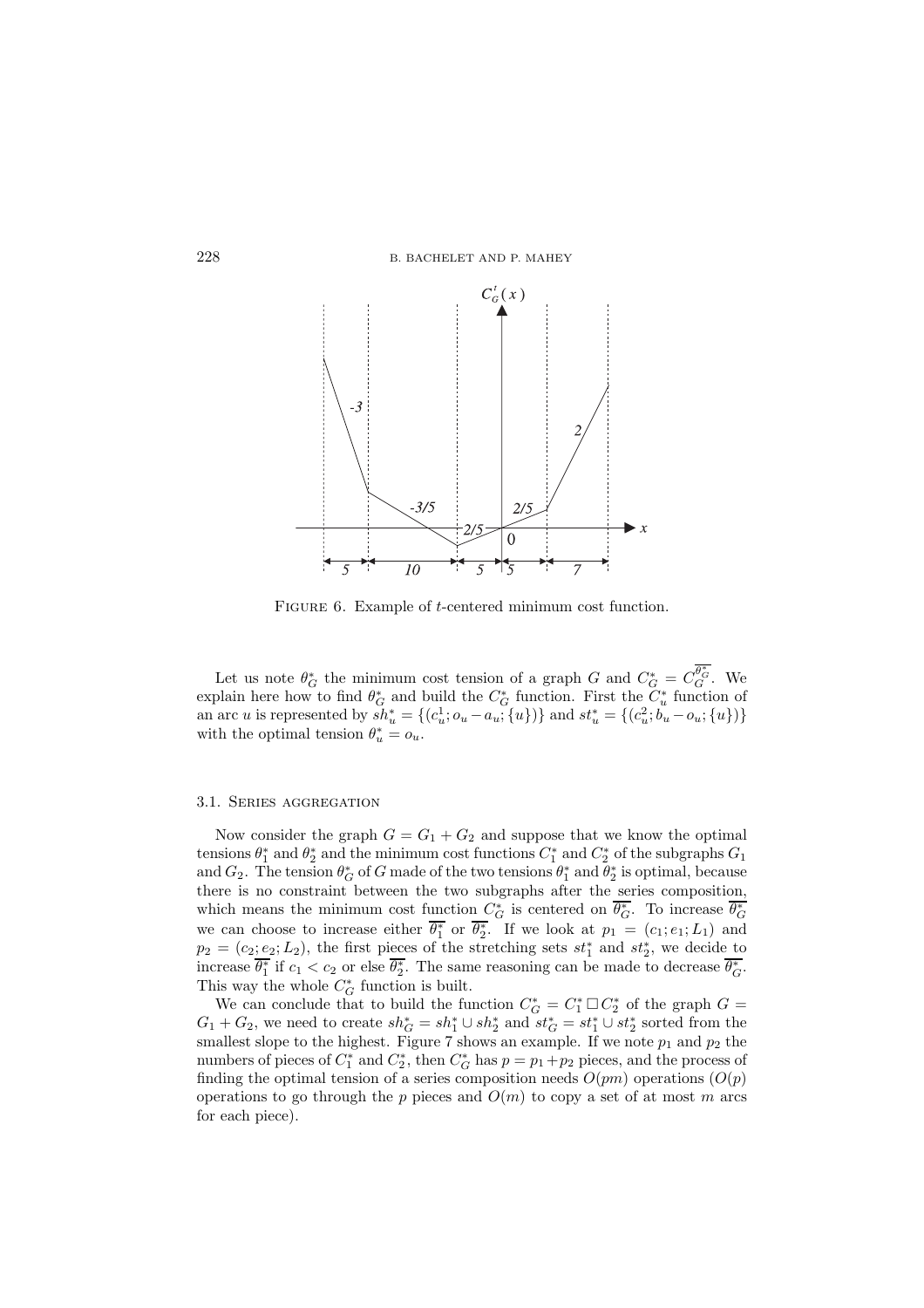

FIGURE 6. Example of *t*-centered minimum cost function.

Let us note  $\theta_G^*$  the minimum cost tension of a graph G and  $C_G^* = C_G^{\theta_G^*}$ . We explain here how to find  $\theta_G^*$  and build the  $C_G^*$  function. First the  $C_u^*$  function of an arc *u* is represented by  $sh_u^* = \{(c_u^1; o_u - a_u; \{u\})\}$  and  $st_u^* = \{(c_u^2; b_u - o_u; \{u\})\}$ with the optimal tension  $\theta_u^* = o_u$ .

#### 3.1. Series aggregation

Now consider the graph  $G = G_1 + G_2$  and suppose that we know the optimal tensions  $\theta_1^*$  and  $\theta_2^*$  and the minimum cost functions  $C_1^*$  and  $C_2^*$  of the subgraphs  $G_1$ and  $G_2$ . The tension  $\theta_G^*$  of G made of the two tensions  $\theta_1^*$  and  $\theta_2^*$  is optimal, because there is no constraint between the two subgraphs after the series composition, which means the minimum cost function  $C_G^*$  is centered on  $\overline{\theta_G^*}$ . To increase  $\overline{\theta_G^*}$  we can choose to increase either  $\overline{\theta_1^*}$  or  $\overline{\theta_2^*}$ . If we look at  $p_1 = (c_1, e_1; L_1)$  and  $p_2 = (c_2; e_2; L_2)$ , the first pieces of the stretching sets  $st_1^*$  and  $st_2^*$ , we decide to increase  $\overline{\theta_1^*}$  if  $c_1 < c_2$  or else  $\overline{\theta_2^*}$ . The same reasoning can be made to decrease  $\overline{\theta_G^*}$ . This way the whole  $C^*_G$  function is built.

We can conclude that to build the function  $C_G^* = C_1^* \square C_2^*$  of the graph  $G =$  $G_1 + G_2$ , we need to create  $sh_G^* = sh_1^* \cup sh_2^*$  and  $st_G^* = st_1^* \cup st_2^*$  sorted from the smallest slope to the highest. Figure 7 shows an example. If we note  $p_1$  and  $p_2$  the numbers of pieces of  $C_1^*$  and  $C_2^*$ , then  $C_G^*$  has  $p = p_1 + p_2$  pieces, and the process of finding the optimal tension of a series composition needs  $O(pm)$  operations  $(O(p))$ operations to go through the p pieces and  $O(m)$  to copy a set of at most m arcs for each piece).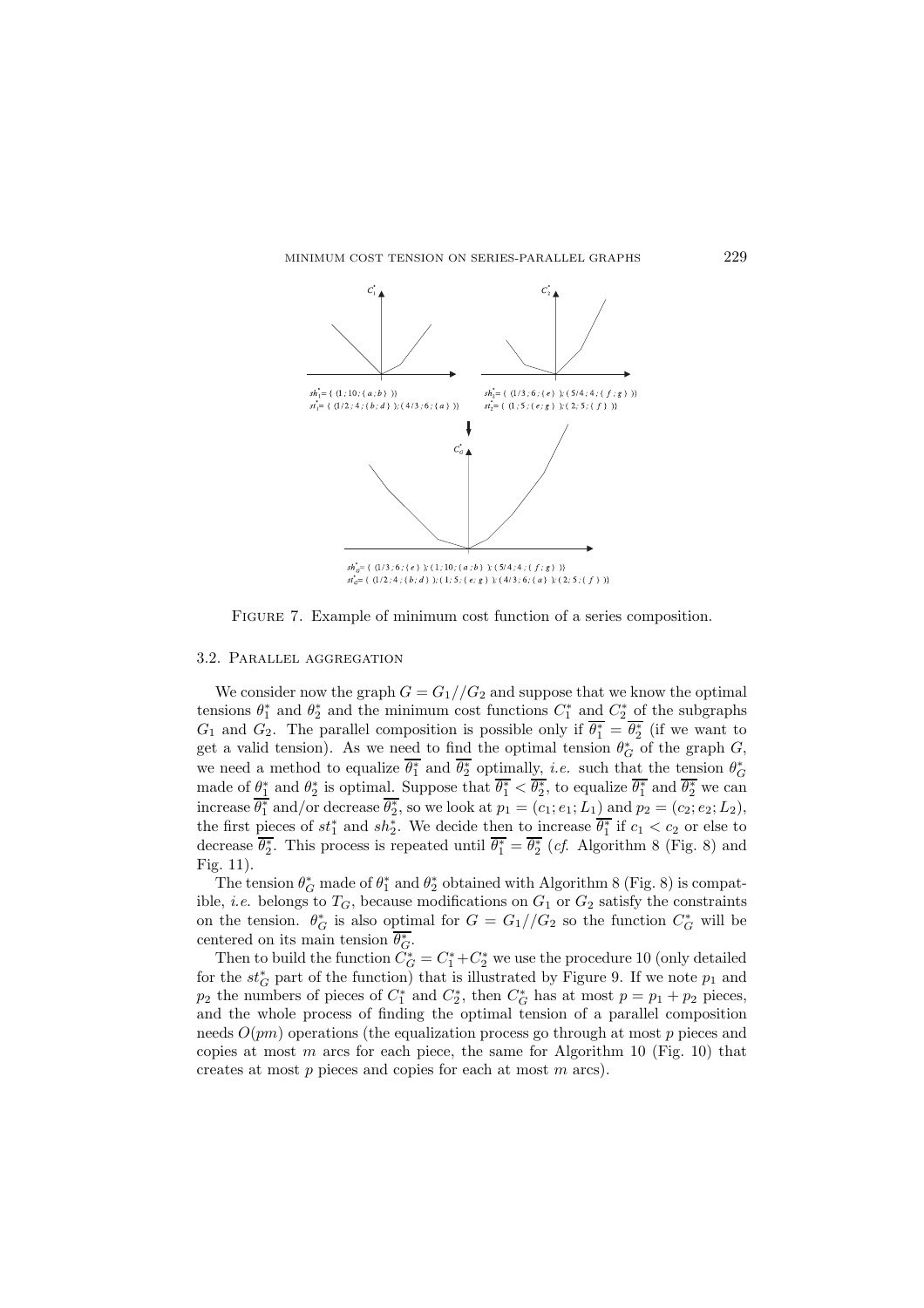

FIGURE 7. Example of minimum cost function of a series composition.

#### 3.2. Parallel aggregation

We consider now the graph  $G = G_1//G_2$  and suppose that we know the optimal tensions  $\theta_1^*$  and  $\theta_2^*$  and the minimum cost functions  $C_1^*$  and  $C_2^*$  of the subgraphs  $G_1$  and  $G_2$ . The parallel composition is possible only if  $\overline{\theta_1^*} = \overline{\theta_2^*}$  (if we want to get a valid tension). As we need to find the optimal tension  $\theta_G^*$  of the graph G, we need a method to equalize  $\overline{\theta_1^*}$  and  $\overline{\theta_2^*}$  optimally, *i.e.* such that the tension  $\theta_G^*$ made of  $\theta_1^*$  and  $\theta_2^*$  is optimal. Suppose that  $\overline{\theta_1^*} < \overline{\theta_2^*}$ , to equalize  $\overline{\theta_1^*}$  and  $\overline{\theta_2^*}$  we can increase  $\overline{\theta_1^*}$  and/or decrease  $\overline{\theta_2^*}$ , so we look at  $p_1 = (c_1; e_1; L_1)$  and  $p_2 = (c_2; e_2; L_2)$ , the first pieces of  $st_1^*$  and  $sh_2^*$ . We decide then to increase  $\overline{\theta_1^*}$  if  $c_1 < c_2$  or else to decrease  $\overline{\theta_2^*}$ . This process is repeated until  $\overline{\theta_1^*} = \overline{\theta_2^*}$  (*cf.* Algorithm 8 (Fig. 8) and Fig. 11).

The tension  $\theta_G^*$  made of  $\theta_1^*$  and  $\theta_2^*$  obtained with Algorithm 8 (Fig. 8) is compatible, *i.e.* belongs to  $T_G$ , because modifications on  $G_1$  or  $G_2$  satisfy the constraints on the tension.  $\theta_G^*$  is also optimal for  $G = G_1//G_2$  so the function  $C_G^*$  will be centered on its main tension  $\overline{\theta_G^*}$ .

Then to build the function  $\tilde{C}_G^* = C_1^* + C_2^*$  we use the procedure 10 (only detailed for the  $st_G^*$  part of the function) that is illustrated by Figure 9. If we note  $p_1$  and  $p_2$  the numbers of pieces of  $C_1^*$  and  $C_2^*$ , then  $C_G^*$  has at most  $p = p_1 + p_2$  pieces, and the whole process of finding the optimal tension of a parallel composition needs  $O(pm)$  operations (the equalization process go through at most p pieces and copies at most  $m$  arcs for each piece, the same for Algorithm 10 (Fig. 10) that creates at most  $p$  pieces and copies for each at most  $m$  arcs).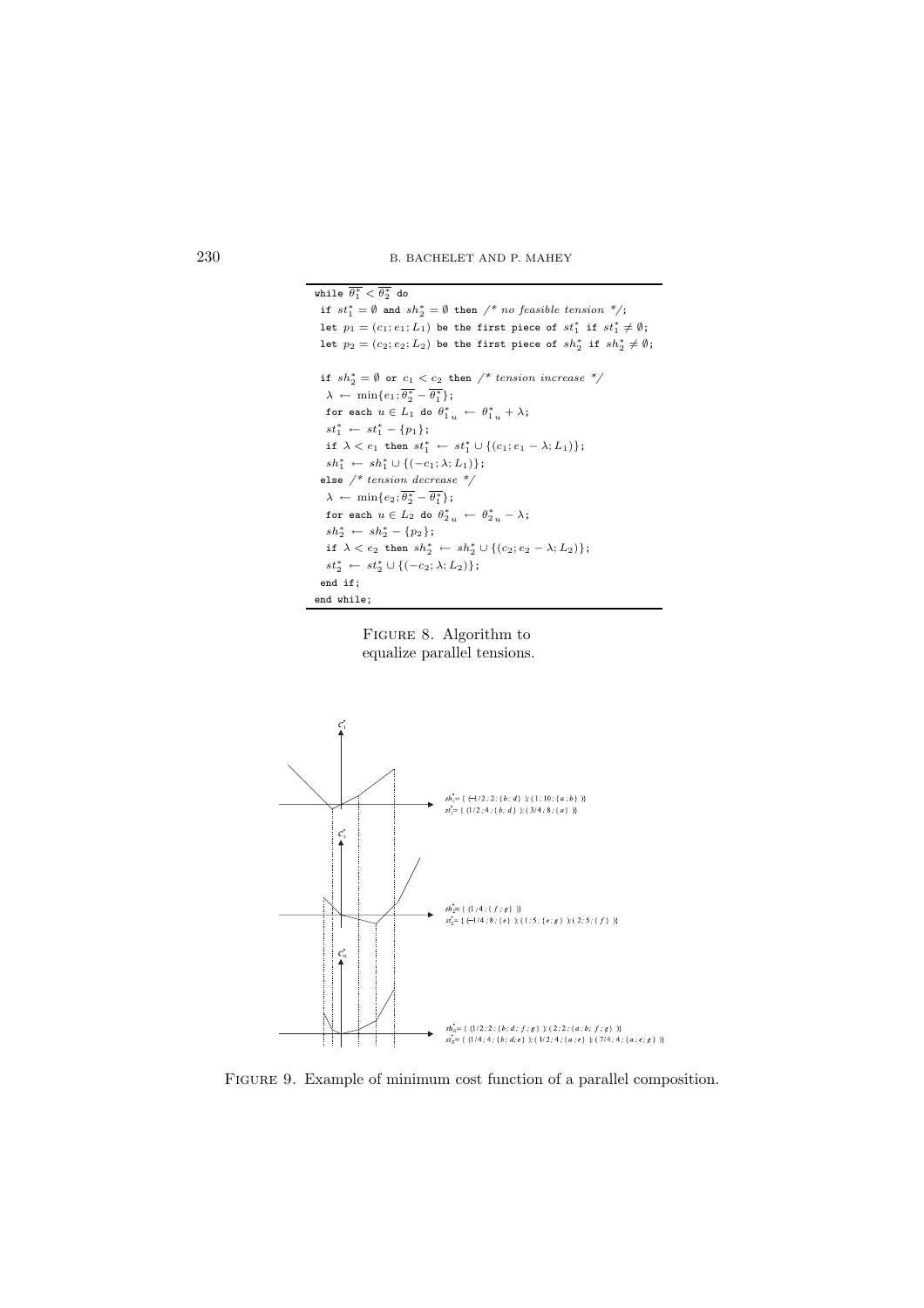230 B. BACHELET AND P. MAHEY







Figure 9. Example of minimum cost function of a parallel composition.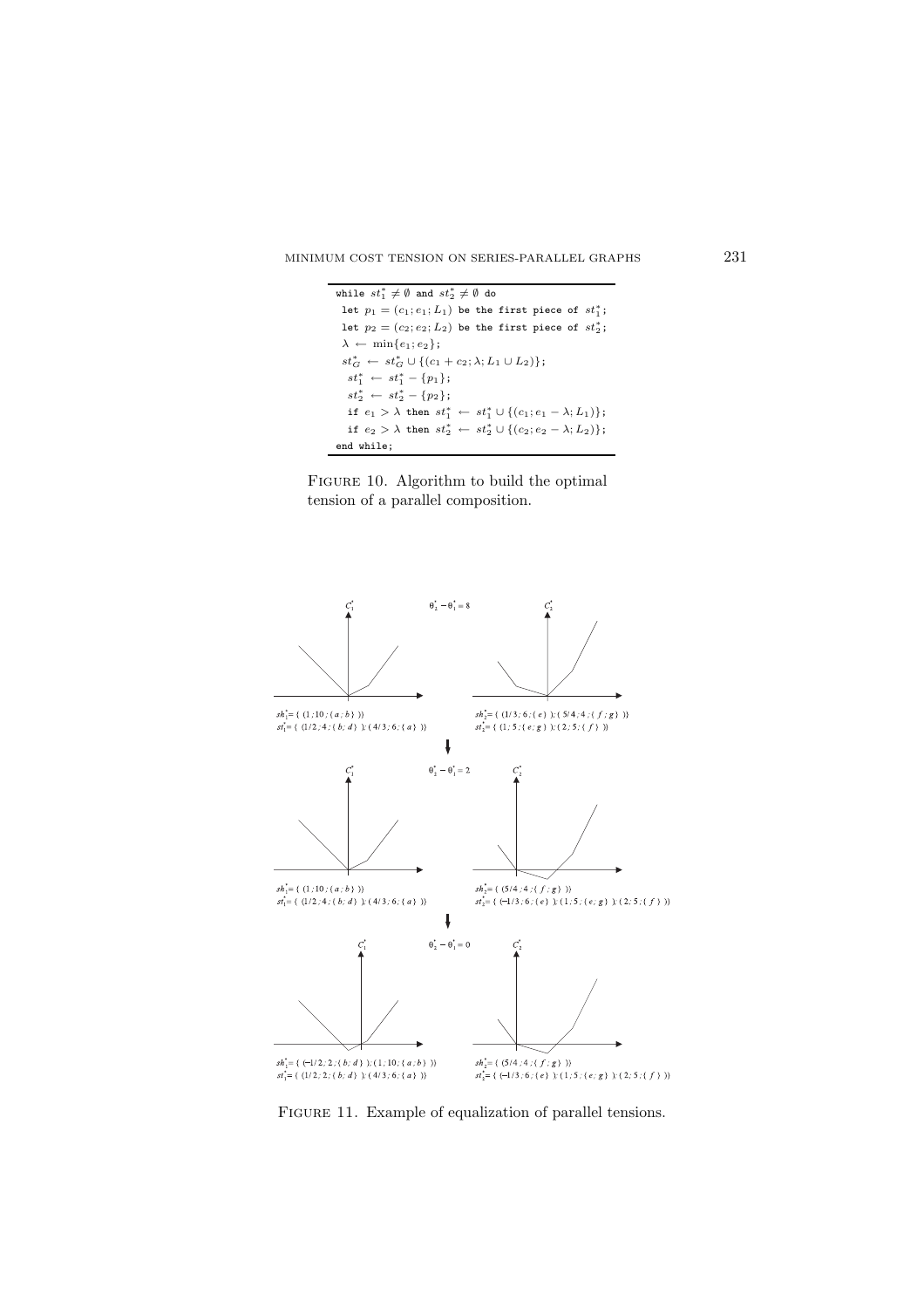```
while st_{1}^{\ast}\neq\emptyset and st_{2}^{\ast}\neq\emptyset do
 let p_1 = (c_1; e_1; L_1) be the first piece of st_1^*;
 let p_2=(c_2;e_2;L_2) be the first piece of st_2^*;
\lambda \leftarrow \min\{e_1; e_2\};st_G^* ← st_G^* ∪ {(c_1 + c_2; \lambda; L_1 \cup L_2)};
   st_1^* \leftarrow st_1^* - \{p_1\};st_2^* \leftarrow st_2^* - \{p_2\};if e_1 > \lambda then st_1^* \leftarrow st_1^* \cup \{(c_1; e_1 - \lambda; L_1)\};if e_2 > \lambda then st_2^* \leftarrow st_2^* \cup \{(c_2; e_2 - \lambda; L_2)\};end while;
```




FIGURE 11. Example of equalization of parallel tensions.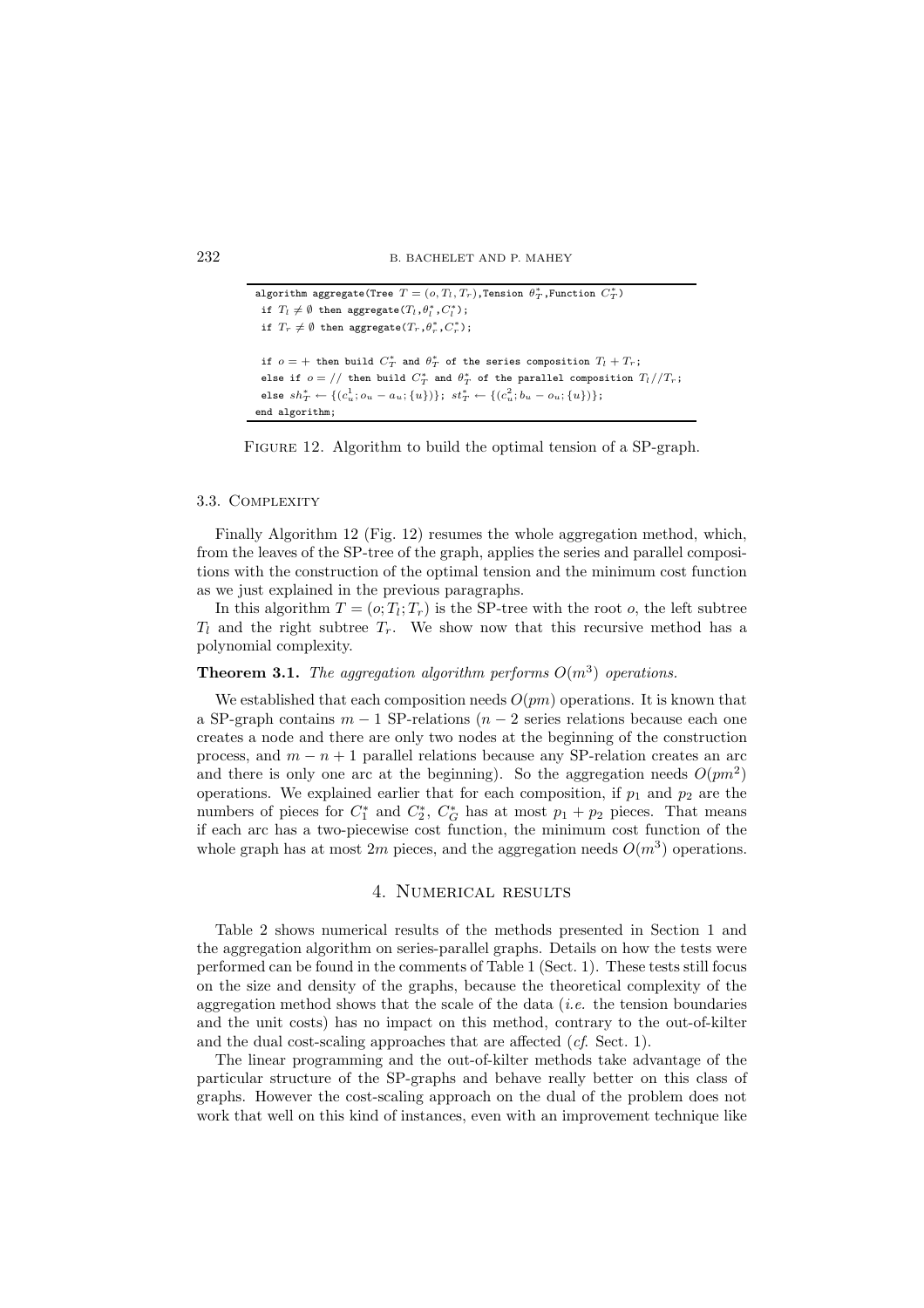```
\mathsf{algorithm}\ \text{aggregate}(\texttt{Tree}\ \ T = (o, T_l, T_r) ,Tension \theta^*_T ,Function C^*_T)if T_l \neq \emptyset then aggregate(T_l, \theta_l^*, C_l^*);
 if T_r \neq \emptyset then aggregate(T_r, \theta_r^*, C_r^*);
 if o = + then build C_T^* and \theta_T^* of the series composition T_l + T_r;
 else if o = // then build C^*_T and \theta^*_T of the parallel composition T_l // T_r;
 else sh_T^* ← \{(c_u^1; o_u - a_u; \{u\})\}; st_T^* ← \{(c_u^2; b_u - o_u; \{u\})\};end algorithm;
```
FIGURE 12. Algorithm to build the optimal tension of a SP-graph.

## 3.3. COMPLEXITY

Finally Algorithm 12 (Fig. 12) resumes the whole aggregation method, which, from the leaves of the SP-tree of the graph, applies the series and parallel compositions with the construction of the optimal tension and the minimum cost function as we just explained in the previous paragraphs.

In this algorithm  $T = (o; T_l; T_r)$  is the SP-tree with the root o, the left subtree  $T_l$  and the right subtree  $T_r$ . We show now that this recursive method has a polynomial complexity.

## **Theorem 3.1.** *The aggregation algorithm performs*  $O(m^3)$  *operations.*

We established that each composition needs  $O(pm)$  operations. It is known that a SP-graph contains  $m-1$  SP-relations  $(n-2)$  series relations because each one creates a node and there are only two nodes at the beginning of the construction process, and  $m - n + 1$  parallel relations because any SP-relation creates an arc and there is only one arc at the beginning). So the aggregation needs  $O(pm^2)$ operations. We explained earlier that for each composition, if  $p_1$  and  $p_2$  are the numbers of pieces for  $C_1^*$  and  $C_2^*$ ,  $C_G^*$  has at most  $p_1 + p_2$  pieces. That means if each arc has a two-piecewise cost function, the minimum cost function of the whole graph has at most 2m pieces, and the aggregation needs  $O(m^3)$  operations.

## 4. Numerical results

Table 2 shows numerical results of the methods presented in Section 1 and the aggregation algorithm on series-parallel graphs. Details on how the tests were performed can be found in the comments of Table 1 (Sect. 1). These tests still focus on the size and density of the graphs, because the theoretical complexity of the aggregation method shows that the scale of the data (*i.e.* the tension boundaries and the unit costs) has no impact on this method, contrary to the out-of-kilter and the dual cost-scaling approaches that are affected (*cf*. Sect. 1).

The linear programming and the out-of-kilter methods take advantage of the particular structure of the SP-graphs and behave really better on this class of graphs. However the cost-scaling approach on the dual of the problem does not work that well on this kind of instances, even with an improvement technique like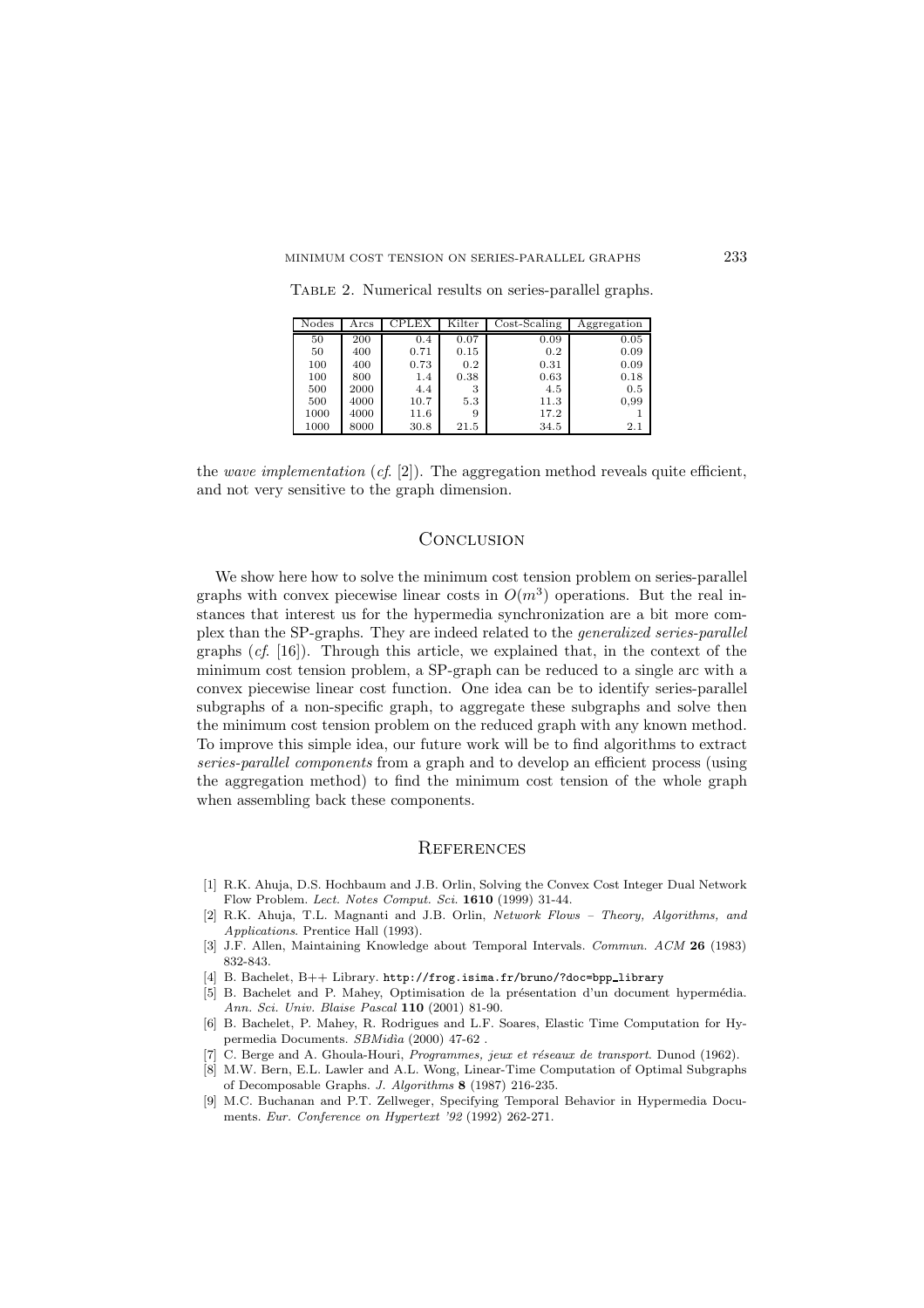| Nodes | $_{\rm Arcs}$ | CPLEX | Kilter | $Cost-Scaling$ | Aggregation |
|-------|---------------|-------|--------|----------------|-------------|
| 50    | 200           | 0.4   | 0.07   | 0.09           | 0.05        |
| 50    | 400           | 0.71  | 0.15   | 0.2            | 0.09        |
| 100   | 400           | 0.73  | 0.2    | 0.31           | 0.09        |
| 100   | 800           | 1.4   | 0.38   | 0.63           | 0.18        |
| 500   | 2000          | 4.4   | 3      | 4.5            | 0.5         |
| 500   | 4000          | 10.7  | 5.3    | 11.3           | 0.99        |
| 1000  | 4000          | 11.6  | 9      | 17.2           |             |
| 1000  | 8000          | 30.8  | 21.5   | 34.5           | 2.1         |

Table 2. Numerical results on series-parallel graphs.

## **CONCLUSION**

We show here how to solve the minimum cost tension problem on series-parallel graphs with convex piecewise linear costs in  $O(m^3)$  operations. But the real instances that interest us for the hypermedia synchronization are a bit more complex than the SP-graphs. They are indeed related to the *generalized series-parallel* graphs (*cf*. [16]). Through this article, we explained that, in the context of the minimum cost tension problem, a SP-graph can be reduced to a single arc with a convex piecewise linear cost function. One idea can be to identify series-parallel subgraphs of a non-specific graph, to aggregate these subgraphs and solve then the minimum cost tension problem on the reduced graph with any known method. To improve this simple idea, our future work will be to find algorithms to extract *series-parallel components* from a graph and to develop an efficient process (using the aggregation method) to find the minimum cost tension of the whole graph when assembling back these components.

## **REFERENCES**

- [1] R.K. Ahuja, D.S. Hochbaum and J.B. Orlin, Solving the Convex Cost Integer Dual Network Flow Problem. *Lect. Notes Comput. Sci.* **1610** (1999) 31-44.
- [2] R.K. Ahuja, T.L. Magnanti and J.B. Orlin, *Network Flows Theory, Algorithms, and Applications*. Prentice Hall (1993).
- [3] J.F. Allen, Maintaining Knowledge about Temporal Intervals. *Commun. ACM* **26** (1983) 832-843.
- [4] B. Bachelet, B++ Library. http://frog.isima.fr/bruno/?doc=bpp\_library
- [5] B. Bachelet and P. Mahey, Optimisation de la présentation d'un document hypermédia. *Ann. Sci. Univ. Blaise Pascal* **110** (2001) 81-90.
- [6] B. Bachelet, P. Mahey, R. Rodrigues and L.F. Soares, Elastic Time Computation for Hypermedia Documents. *SBMid`ıa* (2000) 47-62 .
- [7] C. Berge and A. Ghoula-Houri, *Programmes, jeux et r´eseaux de transport*. Dunod (1962).
- [8] M.W. Bern, E.L. Lawler and A.L. Wong, Linear-Time Computation of Optimal Subgraphs of Decomposable Graphs. *J. Algorithms* **8** (1987) 216-235.
- [9] M.C. Buchanan and P.T. Zellweger, Specifying Temporal Behavior in Hypermedia Documents. *Eur. Conference on Hypertext '92* (1992) 262-271.

the *wave implementation* (*cf*. [2]). The aggregation method reveals quite efficient, and not very sensitive to the graph dimension.